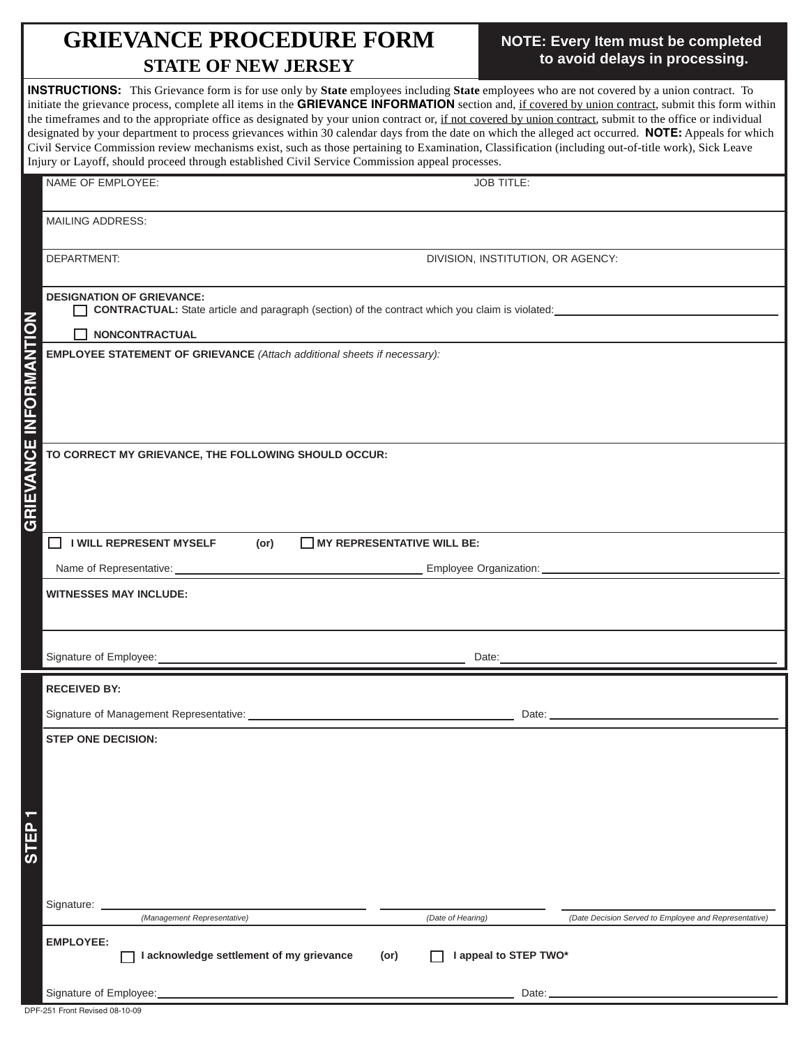## **GRIEVANCE PROCEDURE FORM STATE OF NEW JERSEY**

## **NOTE: Every Item must be completed to avoid delays in processing.**

| <b>STATE OF NEW JERSEY</b>                                                                                                                                                                                                                                                                                                                                                                                                                                                                                                                                                                                                                                                                                                                                                                                                                                                                            | to avoid delays in processing.                        |
|-------------------------------------------------------------------------------------------------------------------------------------------------------------------------------------------------------------------------------------------------------------------------------------------------------------------------------------------------------------------------------------------------------------------------------------------------------------------------------------------------------------------------------------------------------------------------------------------------------------------------------------------------------------------------------------------------------------------------------------------------------------------------------------------------------------------------------------------------------------------------------------------------------|-------------------------------------------------------|
| <b>INSTRUCTIONS:</b> This Grievance form is for use only by <b>State</b> employees including <b>State</b> employees who are not covered by a union contract. To<br>initiate the grievance process, complete all items in the GRIEVANCE INFORMATION section and, if covered by union contract, submit this form within<br>the timeframes and to the appropriate office as designated by your union contract or, if not covered by union contract, submit to the office or individual<br>designated by your department to process grievances within 30 calendar days from the date on which the alleged act occurred. NOTE: Appeals for which<br>Civil Service Commission review mechanisms exist, such as those pertaining to Examination, Classification (including out-of-title work), Sick Leave<br>Injury or Layoff, should proceed through established Civil Service Commission appeal processes. |                                                       |
| NAME OF EMPLOYEE:                                                                                                                                                                                                                                                                                                                                                                                                                                                                                                                                                                                                                                                                                                                                                                                                                                                                                     | <b>JOB TITLE:</b>                                     |
| <b>MAILING ADDRESS:</b>                                                                                                                                                                                                                                                                                                                                                                                                                                                                                                                                                                                                                                                                                                                                                                                                                                                                               |                                                       |
| DEPARTMENT:                                                                                                                                                                                                                                                                                                                                                                                                                                                                                                                                                                                                                                                                                                                                                                                                                                                                                           | DIVISION, INSTITUTION, OR AGENCY:                     |
| <b>DESIGNATION OF GRIEVANCE:</b><br><b>CONTRACTUAL:</b> State article and paragraph (section) of the contract which you claim is violated:<br><b>NONCONTRACTUAL</b><br><b>EMPLOYEE STATEMENT OF GRIEVANCE</b> (Attach additional sheets if necessary):                                                                                                                                                                                                                                                                                                                                                                                                                                                                                                                                                                                                                                                |                                                       |
|                                                                                                                                                                                                                                                                                                                                                                                                                                                                                                                                                                                                                                                                                                                                                                                                                                                                                                       |                                                       |
| <b>GRIEVANCE INFORMANTION</b><br>TO CORRECT MY GRIEVANCE, THE FOLLOWING SHOULD OCCUR:                                                                                                                                                                                                                                                                                                                                                                                                                                                                                                                                                                                                                                                                                                                                                                                                                 |                                                       |
| <b>I WILL REPRESENT MYSELF</b><br><b>MY REPRESENTATIVE WILL BE:</b><br>$\mathsf{L}$<br>(or)                                                                                                                                                                                                                                                                                                                                                                                                                                                                                                                                                                                                                                                                                                                                                                                                           |                                                       |
| Name of Representative:<br><b>WITNESSES MAY INCLUDE:</b>                                                                                                                                                                                                                                                                                                                                                                                                                                                                                                                                                                                                                                                                                                                                                                                                                                              | Employee Organization:                                |
| Signature of Employee:                                                                                                                                                                                                                                                                                                                                                                                                                                                                                                                                                                                                                                                                                                                                                                                                                                                                                | Date:                                                 |
| <b>RECEIVED BY:</b>                                                                                                                                                                                                                                                                                                                                                                                                                                                                                                                                                                                                                                                                                                                                                                                                                                                                                   |                                                       |
|                                                                                                                                                                                                                                                                                                                                                                                                                                                                                                                                                                                                                                                                                                                                                                                                                                                                                                       |                                                       |
| <b>STEP ONE DECISION:</b><br>τ                                                                                                                                                                                                                                                                                                                                                                                                                                                                                                                                                                                                                                                                                                                                                                                                                                                                        |                                                       |
| <b>TEP</b><br>ທ<br>Signature:                                                                                                                                                                                                                                                                                                                                                                                                                                                                                                                                                                                                                                                                                                                                                                                                                                                                         |                                                       |
| (Management Representative)<br>(Date of Hearing)<br><b>EMPLOYEE:</b>                                                                                                                                                                                                                                                                                                                                                                                                                                                                                                                                                                                                                                                                                                                                                                                                                                  | (Date Decision Served to Employee and Representative) |
| I acknowledge settlement of my grievance<br>(or)                                                                                                                                                                                                                                                                                                                                                                                                                                                                                                                                                                                                                                                                                                                                                                                                                                                      | I appeal to STEP TWO*                                 |

DPF-251 Front Revised 08-10-09